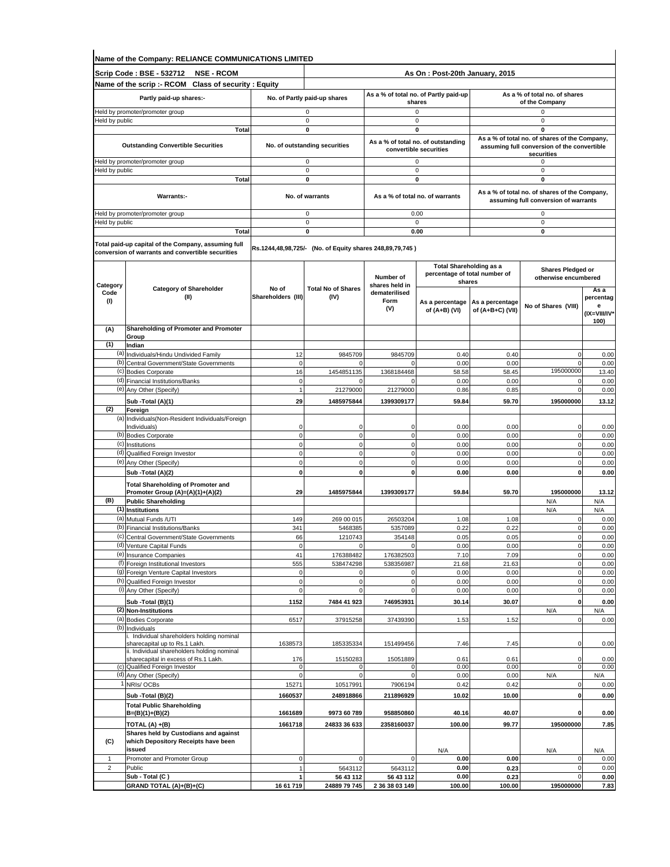|                             | Name of the Company: RELIANCE COMMUNICATIONS LIMITED                                                     |                             |                                                          |                              |                                                              |                                                                                                                                  |                                                                                       |                                        |
|-----------------------------|----------------------------------------------------------------------------------------------------------|-----------------------------|----------------------------------------------------------|------------------------------|--------------------------------------------------------------|----------------------------------------------------------------------------------------------------------------------------------|---------------------------------------------------------------------------------------|----------------------------------------|
|                             | Scrip Code : BSE - 532712<br><b>NSE - RCOM</b>                                                           |                             |                                                          |                              | As On: Post-20th January, 2015                               |                                                                                                                                  |                                                                                       |                                        |
|                             | Name of the scrip :- RCOM Class of security : Equity                                                     |                             |                                                          |                              |                                                              |                                                                                                                                  |                                                                                       |                                        |
|                             | Partly paid-up shares:-                                                                                  |                             | No. of Partly paid-up shares                             |                              | As a % of total no. of Partly paid-up<br>shares              |                                                                                                                                  | As a % of total no. of shares<br>of the Company                                       |                                        |
|                             | Held by promoter/promoter group                                                                          |                             | 0                                                        |                              | $\mathbf 0$                                                  |                                                                                                                                  | 0                                                                                     |                                        |
| Held by public              |                                                                                                          |                             | $\mathbf 0$                                              |                              | 0                                                            |                                                                                                                                  | $\mathsf 0$                                                                           |                                        |
|                             | Total                                                                                                    |                             | 0                                                        |                              | 0                                                            |                                                                                                                                  | $\mathbf 0$<br>As a % of total no. of shares of the Company,                          |                                        |
|                             | <b>Outstanding Convertible Securities</b>                                                                |                             | No. of outstanding securities                            |                              | As a % of total no. of outstanding<br>convertible securities |                                                                                                                                  | assuming full conversion of the convertible<br>securities                             |                                        |
| Held by public              | Held by promoter/promoter group                                                                          |                             | 0<br>0                                                   |                              | $\mathbf 0$<br>0                                             |                                                                                                                                  | 0<br>0                                                                                |                                        |
|                             | <b>Total</b>                                                                                             |                             | $\mathbf 0$                                              |                              | 0                                                            |                                                                                                                                  | $\mathbf 0$                                                                           |                                        |
|                             | Warrants:-                                                                                               |                             | No. of warrants                                          |                              | As a % of total no. of warrants                              |                                                                                                                                  | As a % of total no. of shares of the Company,<br>assuming full conversion of warrants |                                        |
|                             | Held by promoter/promoter group                                                                          |                             | $\mathbf 0$                                              |                              | 0.00                                                         |                                                                                                                                  | $\mathsf 0$                                                                           |                                        |
| Held by public              |                                                                                                          |                             | 0                                                        |                              | $\mathbf 0$                                                  |                                                                                                                                  | $\mathbf 0$                                                                           |                                        |
|                             | Total                                                                                                    |                             | 0                                                        |                              | 0.00                                                         |                                                                                                                                  | 0                                                                                     |                                        |
|                             | Total paid-up capital of the Company, assuming full<br>conversion of warrants and convertible securities |                             | Rs.1244,48,98,725/- (No. of Equity shares 248,89,79,745) |                              |                                                              |                                                                                                                                  |                                                                                       |                                        |
|                             |                                                                                                          |                             |                                                          |                              |                                                              |                                                                                                                                  | Shares Pledged or                                                                     |                                        |
| Category                    | <b>Category of Shareholder</b>                                                                           | No of                       | <b>Total No of Shares</b>                                | Number of<br>shares held in  |                                                              | <b>Total Shareholding as a</b><br>percentage of total number of<br>shares<br>As a percentage<br>of (A+B+C) (VII)<br>0.40<br>0.00 | otherwise encumbered                                                                  | As a                                   |
| Code<br>(1)                 | (II)                                                                                                     | Shareholders (III)          | (IV)                                                     | dematerilised<br>Form<br>(V) | As a percentage<br>of (A+B) (VI)                             |                                                                                                                                  | No of Shares (VIII)                                                                   | percentag<br>е<br>(IX=VIII/IV*<br>100) |
| (A)                         | Shareholding of Promoter and Promoter                                                                    |                             |                                                          |                              |                                                              |                                                                                                                                  |                                                                                       |                                        |
| (1)                         | Group<br>Indian                                                                                          |                             |                                                          |                              |                                                              |                                                                                                                                  |                                                                                       |                                        |
| (a)                         | Individuals/Hindu Undivided Family                                                                       | 12                          | 9845709                                                  | 9845709                      | 0.40                                                         |                                                                                                                                  | $\Omega$                                                                              | 0.00                                   |
| (b)                         | Central Government/State Governments                                                                     | $\mathbf 0$                 | $\mathbf 0$                                              | $\Omega$                     | 0.00                                                         |                                                                                                                                  | $^{\circ}$                                                                            | 0.00                                   |
| (c)<br>(d)                  | <b>Bodies Corporate</b><br><b>Financial Institutions/Banks</b>                                           | 16<br>$\mathbf 0$           | 1454851135<br>$\Omega$                                   | 1368184468                   | 58.58<br>0.00                                                | 58.45<br>0.00                                                                                                                    | 195000000<br>$\Omega$                                                                 | 13.40<br>0.00                          |
|                             | (e) Any Other (Specify)                                                                                  | $\overline{1}$              | 21279000                                                 | 21279000                     | 0.86                                                         | 0.85                                                                                                                             | $\mathbf 0$                                                                           | 0.00                                   |
|                             | Sub -Total (A)(1)                                                                                        | 29                          | 1485975844                                               | 1399309177                   | 59.84                                                        | 59.70                                                                                                                            | 195000000                                                                             | 13.12                                  |
| (2)                         | Foreign                                                                                                  |                             |                                                          |                              |                                                              |                                                                                                                                  |                                                                                       |                                        |
|                             | (a) Individuals (Non-Resident Individuals/Foreign<br>Individuals)                                        | C                           | 0                                                        | $\Omega$                     | 0.00                                                         | 0.00                                                                                                                             | $\mathbf 0$                                                                           | 0.00                                   |
|                             | (b) Bodies Corporate                                                                                     | $\mathbf 0$                 | $\mathbf{0}$                                             | $\mathbf 0$                  | 0.00                                                         | 0.00                                                                                                                             | $\mathbf 0$                                                                           | 0.00                                   |
|                             | (c) Institutions                                                                                         | $\mathbf 0$                 | $\mathbf 0$                                              | $\mathbf 0$                  | 0.00                                                         | 0.00                                                                                                                             | $\mathbf 0$                                                                           | 0.00                                   |
|                             | (d) Qualified Foreign Investor<br>(e) Any Other (Specify)                                                | $\mathbf 0$<br>$\mathbf 0$  | $\pmb{0}$<br>$\mathbf 0$                                 | $\mathbf 0$<br>$\mathbf 0$   | 0.00<br>0.00                                                 | 0.00<br>0.00                                                                                                                     | $\Omega$<br>$\mathbf 0$                                                               | 0.00<br>0.00                           |
|                             | Sub -Total (A)(2)                                                                                        | $\mathbf 0$                 | $\mathbf{0}$                                             | $\mathbf 0$                  | 0.00                                                         | 0.00                                                                                                                             | $\mathbf 0$                                                                           | 0.00                                   |
|                             | <b>Total Shareholding of Promoter and</b>                                                                |                             |                                                          |                              |                                                              |                                                                                                                                  |                                                                                       |                                        |
|                             | Promoter Group (A)=(A)(1)+(A)(2)                                                                         | 29                          | 1485975844                                               | 1399309177                   | 59.84                                                        | 59.70                                                                                                                            | 195000000                                                                             | 13.12                                  |
| (B)                         | <b>Public Shareholding</b><br>(1) Institutions                                                           |                             |                                                          |                              |                                                              |                                                                                                                                  | N/A                                                                                   | N/A                                    |
|                             | (a) Mutual Funds /UTI                                                                                    | 149                         | 269 00 015                                               | 26503204                     | 1.08                                                         | 1.08                                                                                                                             | N/A<br>$\mathbf 0$                                                                    | N/A<br>0.00                            |
| (b)                         | <b>Financial Institutions/Banks</b>                                                                      | 341                         | 5468385                                                  | 5357089                      | 0.22                                                         | 0.22                                                                                                                             | $\mathbf 0$                                                                           | 0.00                                   |
|                             | (c) Central Government/State Governments                                                                 | 66                          | 1210743                                                  | 354148                       | 0.05                                                         | 0.05                                                                                                                             | $\mathbf 0$                                                                           | 0.00                                   |
|                             | (d) Venture Capital Funds<br>(e) Insurance Companies                                                     | $\mathsf{O}\xspace$<br>41   | $\mathbf 0$<br>176388482                                 | $\overline{0}$<br>176382503  | 0.00<br>7.10                                                 | 0.00<br>7.09                                                                                                                     | $\circ$<br>$\mathbf 0$                                                                | 0.00<br>0.00                           |
|                             | (f) Foreign Institutional Investors                                                                      | 555                         | 538474298                                                | 538356987                    | 21.68                                                        | 21.63                                                                                                                            | $\mathbf 0$                                                                           | 0.00                                   |
|                             | (g) Foreign Venture Capital Investors                                                                    | $\mathbf 0$                 | $\mathbf 0$                                              | $\mathbf{0}$                 | 0.00                                                         | 0.00                                                                                                                             | $\mathbf 0$                                                                           | 0.00                                   |
|                             | (h) Qualified Foreign Investor<br>(i) Any Other (Specify)                                                | $\mathbf 0$<br>$\mathbf 0$  | $\mathbf 0$<br>$\pmb{0}$                                 | $\mathbf 0$<br>$\mathbf 0$   | 0.00<br>0.00                                                 | 0.00<br>0.00                                                                                                                     | $\pmb{0}$<br>$\pmb{0}$                                                                | 0.00<br>0.00                           |
|                             | Sub -Total (B)(1)                                                                                        | 1152                        | 7484 41 923                                              | 746953931                    | 30.14                                                        | 30.07                                                                                                                            | $\mathbf 0$                                                                           | 0.00                                   |
|                             | (2) Non-Institutions                                                                                     |                             |                                                          |                              |                                                              |                                                                                                                                  | N/A                                                                                   | N/A                                    |
|                             | (a) Bodies Corporate                                                                                     | 6517                        | 37915258                                                 | 37439390                     | 1.53                                                         | 1.52                                                                                                                             | $\mathbf 0$                                                                           | 0.00                                   |
|                             | (b) Individuals<br>i. Individual shareholders holding nominal                                            |                             |                                                          |                              |                                                              |                                                                                                                                  |                                                                                       |                                        |
|                             | sharecapital up to Rs.1 Lakh.                                                                            | 1638573                     | 185335334                                                | 151499456                    | 7.46                                                         | 7.45                                                                                                                             | 0                                                                                     | 0.00                                   |
|                             | ii. Individual shareholders holding nominal<br>sharecapital in excess of Rs.1 Lakh.                      | 176                         | 15150283                                                 | 15051889                     | 0.61                                                         | 0.61                                                                                                                             | 0                                                                                     | 0.00                                   |
|                             | (c) Qualified Foreign Investor                                                                           | 0                           | 0                                                        | $\mathbf 0$                  | 0.00                                                         | 0.00                                                                                                                             | $\mathbf 0$                                                                           | 0.00                                   |
|                             | (d) Any Other (Specify)<br>NRIs/OCBs                                                                     | $\epsilon$<br>15271         | $\Omega$<br>10517991                                     | $\Omega$<br>7906194          | 0.00<br>0.42                                                 | 0.00<br>0.42                                                                                                                     | N/A<br>$\mathbf 0$                                                                    | N/A<br>0.00                            |
|                             | Sub - Total (B)(2)                                                                                       | 1660537                     | 248918866                                                | 211896929                    | 10.02                                                        | 10.00                                                                                                                            | $\pmb{0}$                                                                             | 0.00                                   |
|                             | <b>Total Public Shareholding</b>                                                                         |                             |                                                          |                              |                                                              |                                                                                                                                  |                                                                                       |                                        |
|                             | B=(B)(1)+(B)(2)                                                                                          | 1661689                     | 9973 60 789                                              | 958850860                    | 40.16                                                        | 40.07                                                                                                                            | 0                                                                                     | 0.00                                   |
|                             | TOTAL (A) +(B)<br>Shares held by Custodians and against                                                  | 1661718                     | 24833 36 633                                             | 2358160037                   | 100.00                                                       | 99.77                                                                                                                            | 195000000                                                                             | 7.85                                   |
| (C)                         | which Depository Receipts have been                                                                      |                             |                                                          |                              |                                                              |                                                                                                                                  |                                                                                       |                                        |
|                             | issued                                                                                                   |                             |                                                          |                              | N/A                                                          |                                                                                                                                  | N/A                                                                                   | N/A                                    |
| $\mathbf{1}$<br>$\mathbf 2$ | Promoter and Promoter Group<br>Public                                                                    | $\pmb{0}$<br>$\overline{1}$ | $\mathbf 0$<br>5643112                                   | $\Omega$<br>5643112          | 0.00<br>0.00                                                 | 0.00<br>0.23                                                                                                                     | $\mathbf 0$<br>$\mathbf 0$                                                            | 0.00<br>0.00                           |
|                             | Sub - Total (C)                                                                                          |                             | 56 43 112                                                | 56 43 112                    | 0.00                                                         | 0.23                                                                                                                             | $\mathbf 0$                                                                           | 0.00                                   |
|                             | GRAND TOTAL (A)+(B)+(C)                                                                                  | 16 61 719                   | 24889 79 745                                             | 2 36 38 03 149               | 100.00                                                       | 100.00                                                                                                                           | 195000000                                                                             | 7.83                                   |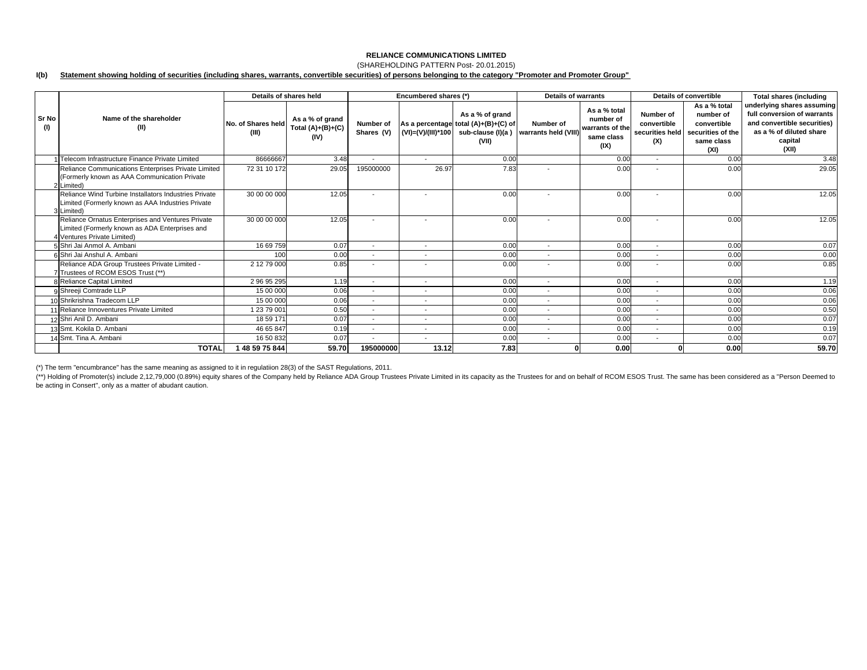## (SHAREHOLDING PATTERN Post- 20.01.2015)

#### **I(b) Statement showing holding of securities (including shares, warrants, convertible securities) of persons belonging to the category "Promoter and Promoter Group"**

|                     |                                                                                                                                    | Details of shares held      |                                                |                          | Encumbered shares (*)    |                                                                                                               | Details of warrants               |                                                                    | Details of convertible                             |                                                                                     | <b>Total shares (including</b>                                                                                                          |
|---------------------|------------------------------------------------------------------------------------------------------------------------------------|-----------------------------|------------------------------------------------|--------------------------|--------------------------|---------------------------------------------------------------------------------------------------------------|-----------------------------------|--------------------------------------------------------------------|----------------------------------------------------|-------------------------------------------------------------------------------------|-----------------------------------------------------------------------------------------------------------------------------------------|
| <b>Sr No</b><br>(1) | Name of the shareholder<br>(II)                                                                                                    | No. of Shares held<br>(III) | As a % of grand<br>Total $(A)+(B)+(C)$<br>(IV) | Number of<br>Shares (V)  |                          | As a % of grand<br>As a percentage total (A)+(B)+(C) of<br>$(VI) = (V)/(III)^*100$ sub-clause (I)(a)<br>(VII) | Number of<br>warrants held (VIII) | As a % total<br>number of<br>warrants of the<br>same class<br>(IX) | Number of<br>convertible<br>securities held<br>(X) | As a % total<br>number of<br>convertible<br>securities of the<br>same class<br>(XI) | underlying shares assuming<br>full conversion of warrants<br>and convertible securities)<br>as a % of diluted share<br>capital<br>(XII) |
|                     | 1 Telecom Infrastructure Finance Private Limited                                                                                   | 86666667                    | 3.48                                           |                          | $\overline{\phantom{a}}$ | 0.00                                                                                                          |                                   | 0.00                                                               | $\sim$                                             | 0.00                                                                                | 3.48                                                                                                                                    |
|                     | Reliance Communications Enterprises Private Limited<br>(Formerly known as AAA Communication Private<br>2 Limited)                  | 72 31 10 172                | 29.05                                          | 195000000                | 26.97                    | 7.83                                                                                                          | $\overline{\phantom{a}}$          | 0.00                                                               |                                                    | 0.00                                                                                | 29.05                                                                                                                                   |
|                     | Reliance Wind Turbine Installators Industries Private<br>Limited (Formerly known as AAA Industries Private<br>3 Limited)           | 30 00 00 000                | 12.05                                          | $\overline{\phantom{a}}$ | $\overline{\phantom{a}}$ | 0.00                                                                                                          | $\overline{\phantom{a}}$          | 0.00                                                               |                                                    | 0.00                                                                                | 12.05                                                                                                                                   |
|                     | Reliance Ornatus Enterprises and Ventures Private<br>Limited (Formerly known as ADA Enterprises and<br>4 Ventures Private Limited) | 30 00 00 000                | 12.05                                          |                          | $\overline{\phantom{a}}$ | 0.00                                                                                                          | $\overline{\phantom{a}}$          | 0.00                                                               |                                                    | 0.00                                                                                | 12.05                                                                                                                                   |
|                     | 5 Shri Jai Anmol A. Ambani                                                                                                         | 16 69 759                   | 0.07                                           | $\overline{\phantom{a}}$ | $\overline{\phantom{a}}$ | 0.00                                                                                                          | $\overline{\phantom{a}}$          | 0.00                                                               | $\overline{\phantom{a}}$                           | 0.00                                                                                | 0.07                                                                                                                                    |
|                     | 6 Shri Jai Anshul A. Ambani                                                                                                        | 100                         | 0.00                                           | $\overline{\phantom{a}}$ |                          | 0.00                                                                                                          |                                   | 0.00                                                               |                                                    | 0.00                                                                                | 0.00                                                                                                                                    |
|                     | Reliance ADA Group Trustees Private Limited -<br>7 Trustees of RCOM ESOS Trust (**)                                                | 2 12 79 000                 | 0.85                                           | $\overline{\phantom{a}}$ | $\overline{\phantom{a}}$ | 0.00                                                                                                          | $\overline{\phantom{a}}$          | 0.00                                                               |                                                    | 0.00                                                                                | 0.85                                                                                                                                    |
|                     | 8 Reliance Capital Limited                                                                                                         | 29695295                    | 1.19                                           | $\overline{\phantom{a}}$ | $\overline{\phantom{a}}$ | 0.00                                                                                                          | $\overline{a}$                    | 0.00                                                               | $\sim$                                             | 0.00                                                                                | 1.19                                                                                                                                    |
|                     | 9 Shreeji Comtrade LLP                                                                                                             | 15 00 000                   | 0.06                                           | $\overline{\phantom{a}}$ | $\overline{\phantom{0}}$ | 0.00                                                                                                          | $\overline{\phantom{a}}$          | 0.00                                                               | $\overline{\phantom{a}}$                           | 0.00                                                                                | 0.06                                                                                                                                    |
|                     | 10 Shrikrishna Tradecom LLP                                                                                                        | 15 00 000                   | 0.06                                           | $\overline{\phantom{a}}$ | $\overline{\phantom{a}}$ | 0.00                                                                                                          | $\overline{\phantom{a}}$          | 0.00                                                               |                                                    | 0.00                                                                                | 0.06                                                                                                                                    |
|                     | 11 Reliance Innoventures Private Limited                                                                                           | 12379001                    | 0.50                                           | $\overline{\phantom{a}}$ | $\overline{\phantom{a}}$ | 0.00                                                                                                          | $\overline{\phantom{a}}$          | 0.00                                                               | $\overline{a}$                                     | 0.00                                                                                | 0.50                                                                                                                                    |
|                     | 12 Shri Anil D. Ambani                                                                                                             | 18 59 171                   | 0.07                                           | $\overline{\phantom{a}}$ |                          | 0.00                                                                                                          | $\overline{\phantom{a}}$          | 0.00                                                               |                                                    | 0.00                                                                                | 0.07                                                                                                                                    |
|                     | 13 Smt. Kokila D. Ambani                                                                                                           | 46 65 847                   | 0.19                                           | $\overline{\phantom{a}}$ |                          | 0.00                                                                                                          |                                   | 0.00                                                               |                                                    | 0.00                                                                                | 0.19                                                                                                                                    |
|                     | 14 Smt. Tina A. Ambani                                                                                                             | 16 50 832                   | 0.07                                           | $\overline{\phantom{a}}$ | $\overline{\phantom{a}}$ | 0.00                                                                                                          | $\overline{\phantom{a}}$          | 0.00                                                               | $\overline{a}$                                     | 0.00                                                                                | 0.07                                                                                                                                    |
|                     | <b>TOTAL</b>                                                                                                                       | 1 48 59 75 844              | 59.70                                          | 195000000                | 13.12                    | 7.83                                                                                                          |                                   | 0.00                                                               |                                                    | 0.00                                                                                | 59.70                                                                                                                                   |

(\*) The term "encumbrance" has the same meaning as assigned to it in regulatiion 28(3) of the SAST Regulations, 2011.

(\*\*) Holding of Promoter(s) include 2,12,79,000 (0.89%) equity shares of the Company held by Reliance ADA Group Trustees Private Limited in its capacity as the Trustees for and on behalf of RCOM ESOS Trust. The same has be be acting in Consert'', only as a matter of abudant caution.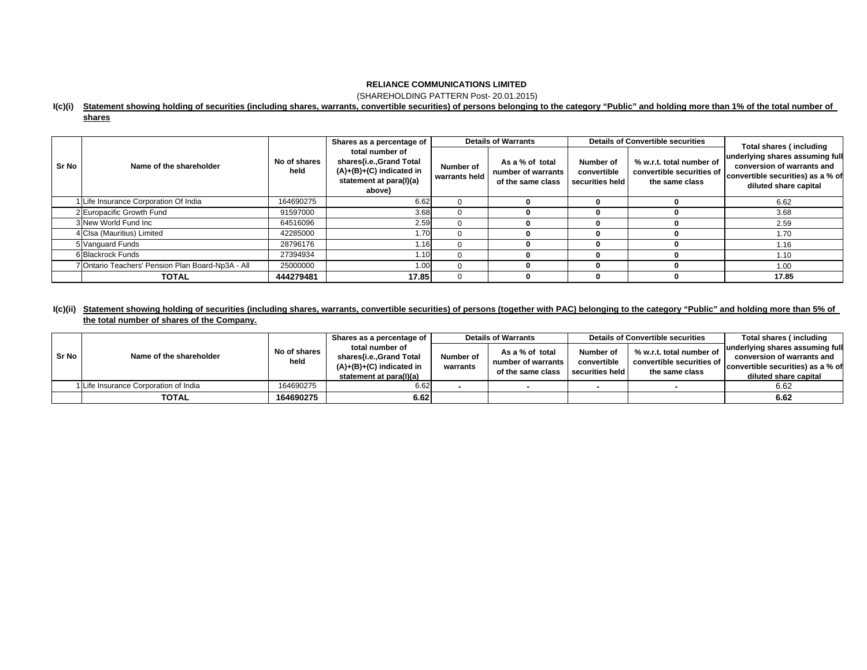(SHAREHOLDING PATTERN Post- 20.01.2015)

### **I(c)(i) Statement showing holding of securities (including shares, warrants, convertible securities) of persons belonging to the category "Public" and holding more than 1% of the total number of**

**shares**

|              |                                                  |                      | Shares as a percentage of                                                                                     |                            | <b>Details of Warrants</b>                                 |                                             | <b>Details of Convertible securities</b>                                | Total shares (including                                                                                                     |  |
|--------------|--------------------------------------------------|----------------------|---------------------------------------------------------------------------------------------------------------|----------------------------|------------------------------------------------------------|---------------------------------------------|-------------------------------------------------------------------------|-----------------------------------------------------------------------------------------------------------------------------|--|
| <b>Sr No</b> | Name of the shareholder                          | No of shares<br>held | total number of<br>shares{i.e.,Grand Total<br>$(A)+(B)+(C)$ indicated in<br>statement at para(I)(a)<br>above} | Number of<br>warrants held | As a % of total<br>number of warrants<br>of the same class | Number of<br>convertible<br>securities held | % w.r.t. total number of<br>convertible securities of<br>the same class | underlying shares assuming full<br>conversion of warrants and<br>convertible securities) as a % of<br>diluted share capital |  |
|              | Life Insurance Corporation Of India              | 164690275            | 6.62                                                                                                          | 0                          |                                                            |                                             |                                                                         | 6.62                                                                                                                        |  |
|              | 2 Europacific Growth Fund                        | 91597000             | 3.68                                                                                                          | $\Omega$                   |                                                            |                                             |                                                                         | 3.68                                                                                                                        |  |
|              | 3 New World Fund Inc                             | 64516096             | 2.59                                                                                                          | $\Omega$                   |                                                            |                                             |                                                                         | 2.59                                                                                                                        |  |
|              | 4 Clsa (Mauritius) Limited                       | 42285000             | 1.70                                                                                                          | $\Omega$                   |                                                            |                                             |                                                                         | 1.70                                                                                                                        |  |
|              | 5 Vanguard Funds                                 | 28796176             | 1.16                                                                                                          | ∩                          |                                                            |                                             |                                                                         | 1.16                                                                                                                        |  |
|              | 6 Blackrock Funds                                | 27394934             | 1.10                                                                                                          | ∩                          |                                                            |                                             |                                                                         | 1.10                                                                                                                        |  |
|              | 'Ontario Teachers' Pension Plan Board-Np3A - All | 25000000             | 1.0(                                                                                                          | ∩                          |                                                            |                                             |                                                                         | 1.00                                                                                                                        |  |
|              | <b>TOTAL</b>                                     | 444279481            | 17.85                                                                                                         | $\Omega$                   |                                                            |                                             |                                                                         | 17.85                                                                                                                       |  |

## **I(c)(ii) Statement showing holding of securities (including shares, warrants, convertible securities) of persons (together with PAC) belonging to the category "Public" and holding more than 5% of the total number of shares of the Company.**

| Sr No | Name of the shareholder               | No of shares<br>held | Shares as a percentage of                                                                           | <b>Details of Warrants</b> |                                         |                                | <b>Details of Convertible securities</b>    | Total shares (including                                         |
|-------|---------------------------------------|----------------------|-----------------------------------------------------------------------------------------------------|----------------------------|-----------------------------------------|--------------------------------|---------------------------------------------|-----------------------------------------------------------------|
|       |                                       |                      | total number of<br>shares{i.e.,Grand Total<br>$(A)+(B)+(C)$ indicated in<br>statement at para(I)(a) |                            | As a % of total                         | Number of                      | % w.r.t. total number of                    | underlying shares assuming full                                 |
|       |                                       |                      |                                                                                                     | Number of<br>warrants      | number of warrants<br>of the same class | convertible<br>securities held | convertible securities of<br>the same class | conversion of warrants and<br>convertible securities) as a % of |
|       |                                       |                      |                                                                                                     |                            |                                         |                                |                                             | diluted share capital                                           |
|       | I Life Insurance Corporation of India | 164690275            | 6.62                                                                                                |                            |                                         |                                |                                             | 6.62                                                            |
|       | <b>TOTAL</b>                          | 164690275            | 6.62                                                                                                |                            |                                         |                                |                                             | 6.62                                                            |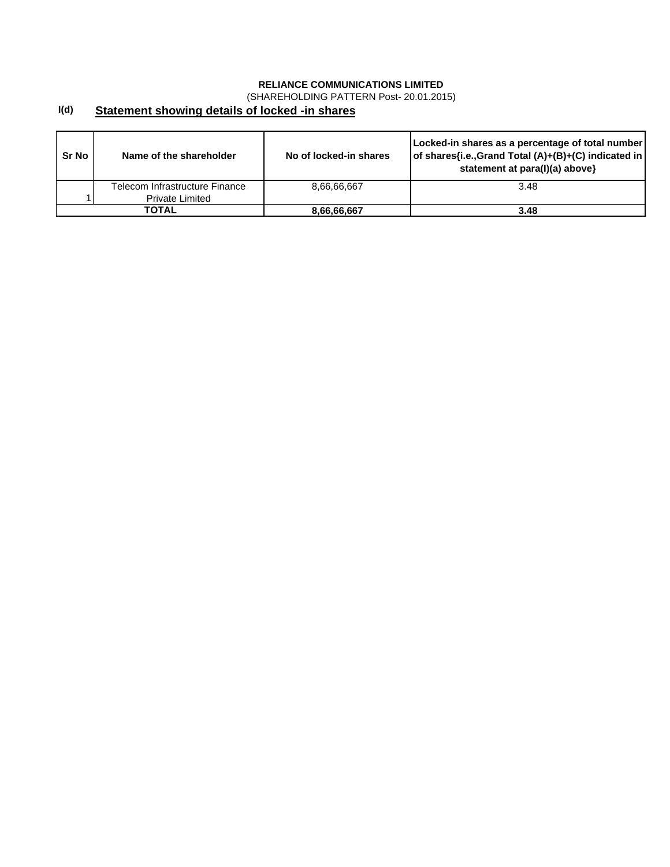(SHAREHOLDING PATTERN Post- 20.01.2015)

#### **I(d) Statement showing details of locked -in shares**

| Sr No | Name of the shareholder        | No of locked-in shares | Locked-in shares as a percentage of total number<br>of shares{i.e., Grand Total (A)+(B)+(C) indicated in<br>statement at para(I)(a) above} |
|-------|--------------------------------|------------------------|--------------------------------------------------------------------------------------------------------------------------------------------|
|       | Telecom Infrastructure Finance | 8.66.66.667            | 3.48                                                                                                                                       |
|       | <b>Private Limited</b>         |                        |                                                                                                                                            |
|       | TOTAL                          | 8,66,66,667            | 3.48                                                                                                                                       |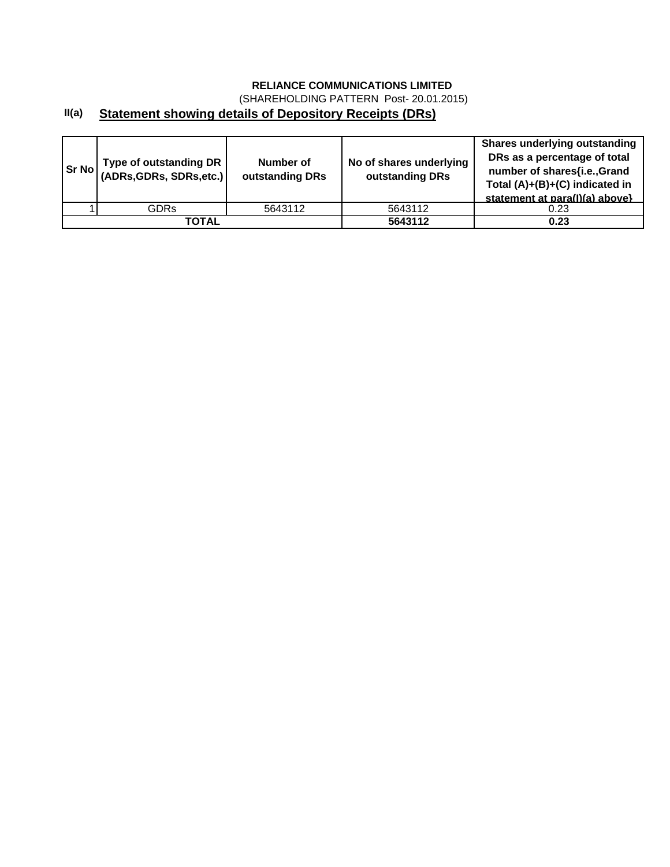(SHAREHOLDING PATTERN Post- 20.01.2015)

# **II(a) Statement showing details of Depository Receipts (DRs)**

| <b>Sr No</b> | Type of outstanding DR<br>(ADRs, GDRs, SDRs, etc.) | Number of<br>outstanding DRs | No of shares underlying<br>outstanding DRs | <b>Shares underlying outstanding</b><br>DRs as a percentage of total<br>number of shares{i.e.,Grand<br>Total (A)+(B)+(C) indicated in<br>statement at para(I)(a) above} |
|--------------|----------------------------------------------------|------------------------------|--------------------------------------------|-------------------------------------------------------------------------------------------------------------------------------------------------------------------------|
|              | GDRs                                               | 5643112                      | 5643112                                    | 0.23                                                                                                                                                                    |
|              | ΤΟΤΑL                                              |                              | 5643112                                    | 0.23                                                                                                                                                                    |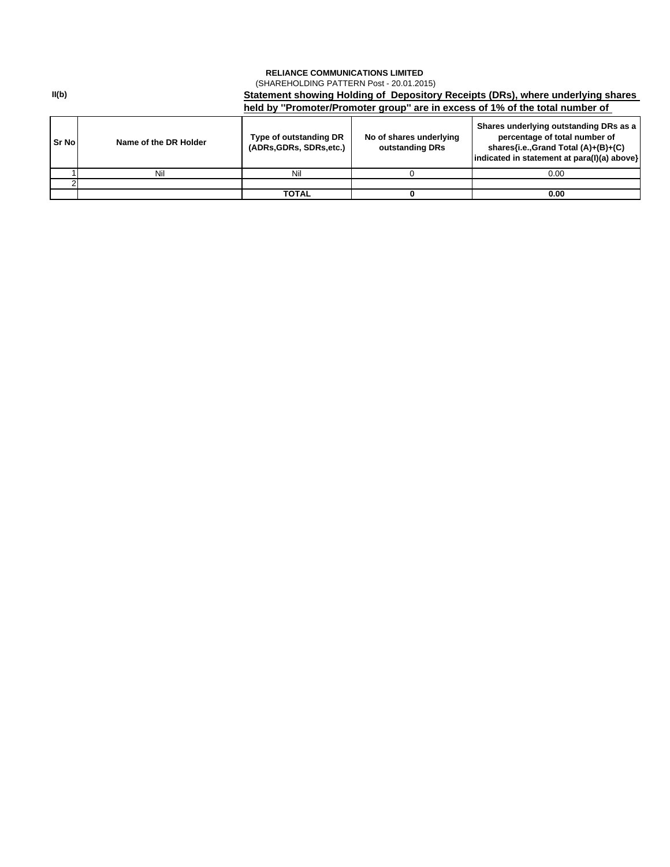## **RELIANCE COMMUNICATIONS LIMITED**  (SHAREHOLDING PATTERN Post - 20.01.2015)

**Sr No Name of the DR Holder Type of outstanding DR SR No Name of the DR Holder (ADRs,GDRs, SDRs,etc.) No of shares underlying outstanding DRs Shares underlying outstanding DRs as a percentage of total number of shares{i.e.,Grand Total (A)+(B)+(C) indicated in statement at para(I)(a) above}** 1 | Nil Nil | 0 | 0.00  $\mathfrak{p}$ **TOTAL 0 0.00 Statement showing Holding of Depository Receipts (DRs), where underlying shares held by ''Promoter/Promoter group'' are in excess of 1% of the total number of** 

**II(b)**